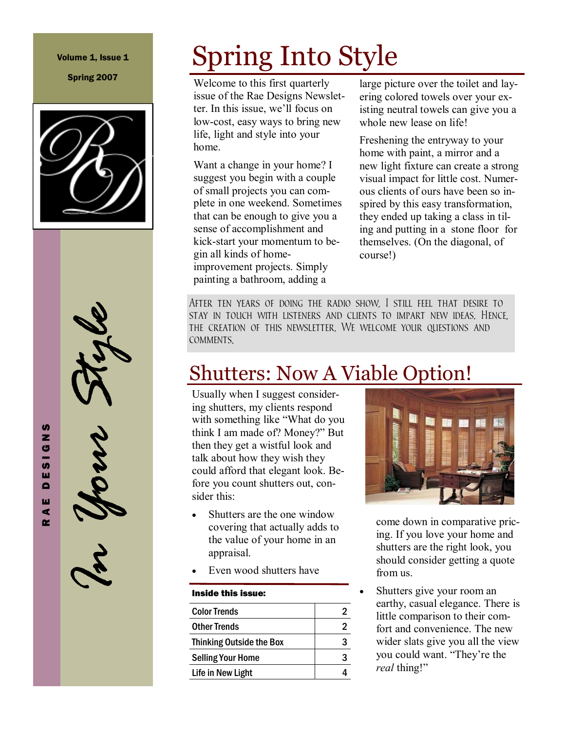#### Volume 1, Issue 1

Spring 2007





# Spring Into Style

Welcome to this first quarterly issue of the Rae Designs Newsletter. In this issue, we'll focus on low-cost, easy ways to bring new life, light and style into your home.

Want a change in your home? I suggest you begin with a couple of small projects you can complete in one weekend. Sometimes that can be enough to give you a sense of accomplishment and kick-start your momentum to begin all kinds of homeimprovement projects. Simply painting a bathroom, adding a

large picture over the toilet and layering colored towels over your existing neutral towels can give you a whole new lease on life!

Freshening the entryway to your home with paint, a mirror and a new light fixture can create a strong visual impact for little cost. Numerous clients of ours have been so inspired by this easy transformation, they ended up taking a class in tiling and putting in a stone floor for themselves. (On the diagonal, of course!)

After ten years of doing the radio show, I still feel that desire to stay in touch with listeners and clients to impart new ideas. Hence, the creation of this newsletter. We welcome your questions and comments.

### Shutters: Now A Viable Option!

Usually when I suggest considering shutters, my clients respond with something like "What do you think I am made of? Money?" But then they get a wistful look and talk about how they wish they could afford that elegant look. Before you count shutters out, consider this:

- Shutters are the one window covering that actually adds to the value of your home in an appraisal.
- Even wood shutters have

#### Inside this issue:

| <b>Color Trends</b>             |   |
|---------------------------------|---|
| <b>Other Trends</b>             |   |
| <b>Thinking Outside the Box</b> | З |
| <b>Selling Your Home</b>        |   |
| Life in New Light               |   |
|                                 |   |



come down in comparative pricing. If you love your home and shutters are the right look, you should consider getting a quote from us.

Shutters give your room an earthy, casual elegance. There is little comparison to their comfort and convenience. The new wider slats give you all the view you could want. "They're the real thing!"

R A E D E S I G N S z  $\mathbf{G}$ **S** ш  $\blacksquare$ ш  $\blacktriangleleft$  $\sim$ 

**S**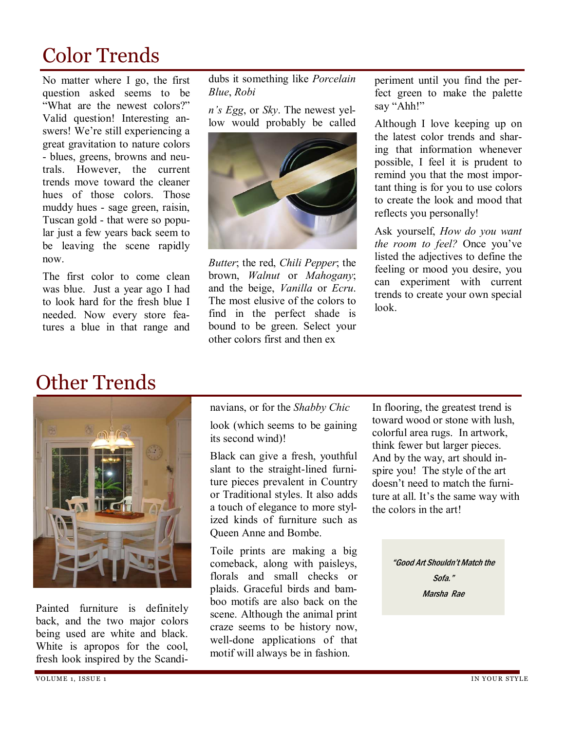### Color Trends

No matter where I go, the first question asked seems to be "What are the newest colors?" Valid question! Interesting answers! We're still experiencing a great gravitation to nature colors - blues, greens, browns and neutrals. However, the current trends move toward the cleaner hues of those colors. Those muddy hues - sage green, raisin, Tuscan gold - that were so popular just a few years back seem to be leaving the scene rapidly now.

The first color to come clean was blue. Just a year ago I had to look hard for the fresh blue I needed. Now every store features a blue in that range and

dubs it something like Porcelain Blue, Robi

n's Egg, or Sky. The newest yellow would probably be called



Butter; the red, Chili Pepper; the brown, Walnut or Mahogany; and the beige, Vanilla or Ecru. The most elusive of the colors to find in the perfect shade is bound to be green. Select your other colors first and then ex

periment until you find the perfect green to make the palette say "Ahh!"

Although I love keeping up on the latest color trends and sharing that information whenever possible, I feel it is prudent to remind you that the most important thing is for you to use colors to create the look and mood that reflects you personally!

Ask yourself, How do you want the room to feel? Once you've listed the adjectives to define the feeling or mood you desire, you can experiment with current trends to create your own special look.

#### Other Trends



Painted furniture is definitely back, and the two major colors being used are white and black. White is apropos for the cool, fresh look inspired by the Scandinavians, or for the Shabby Chic

look (which seems to be gaining its second wind)!

Black can give a fresh, youthful slant to the straight-lined furniture pieces prevalent in Country or Traditional styles. It also adds a touch of elegance to more stylized kinds of furniture such as Queen Anne and Bombe.

Toile prints are making a big comeback, along with paisleys, florals and small checks or plaids. Graceful birds and bamboo motifs are also back on the scene. Although the animal print craze seems to be history now, well-done applications of that motif will always be in fashion.

In flooring, the greatest trend is toward wood or stone with lush, colorful area rugs. In artwork, think fewer but larger pieces. And by the way, art should inspire you! The style of the art doesn't need to match the furniture at all. It's the same way with the colors in the art!

> "Good Art Shouldn't Match the Sofa." Marsha Rae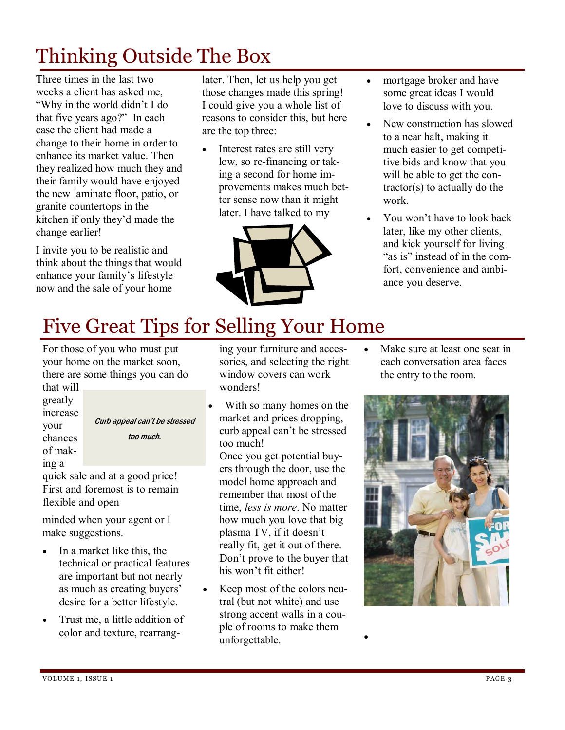# Thinking Outside The Box

Three times in the last two weeks a client has asked me, "Why in the world didn't I do that five years ago?" In each case the client had made a change to their home in order to enhance its market value. Then they realized how much they and their family would have enjoyed the new laminate floor, patio, or granite countertops in the kitchen if only they'd made the change earlier!

I invite you to be realistic and think about the things that would enhance your family's lifestyle now and the sale of your home

later. Then, let us help you get those changes made this spring! I could give you a whole list of reasons to consider this, but here are the top three:

Interest rates are still very low, so re-financing or taking a second for home improvements makes much better sense now than it might later. I have talked to my



- mortgage broker and have some great ideas I would love to discuss with you.
- New construction has slowed to a near halt, making it much easier to get competitive bids and know that you will be able to get the contractor(s) to actually do the work.
- You won't have to look back later, like my other clients, and kick yourself for living "as is" instead of in the comfort, convenience and ambiance you deserve.

# Five Great Tips for Selling Your Home

For those of you who must put your home on the market soon, there are some things you can do

that will greatly increase your chances of making a

Curb appeal can't be stressed too much.

quick sale and at a good price! First and foremost is to remain flexible and open

minded when your agent or I make suggestions.

- In a market like this, the technical or practical features are important but not nearly as much as creating buyers' desire for a better lifestyle.
- Trust me, a little addition of color and texture, rearrang-

ing your furniture and accessories, and selecting the right window covers can work wonders!

With so many homes on the market and prices dropping, curb appeal can't be stressed too much! Once you get potential buyers through the door, use the

model home approach and remember that most of the time, less is more. No matter how much you love that big plasma TV, if it doesn't really fit, get it out of there. Don't prove to the buyer that his won't fit either!

• Keep most of the colors neutral (but not white) and use strong accent walls in a couple of rooms to make them unforgettable.

•

Make sure at least one seat in each conversation area faces the entry to the room.